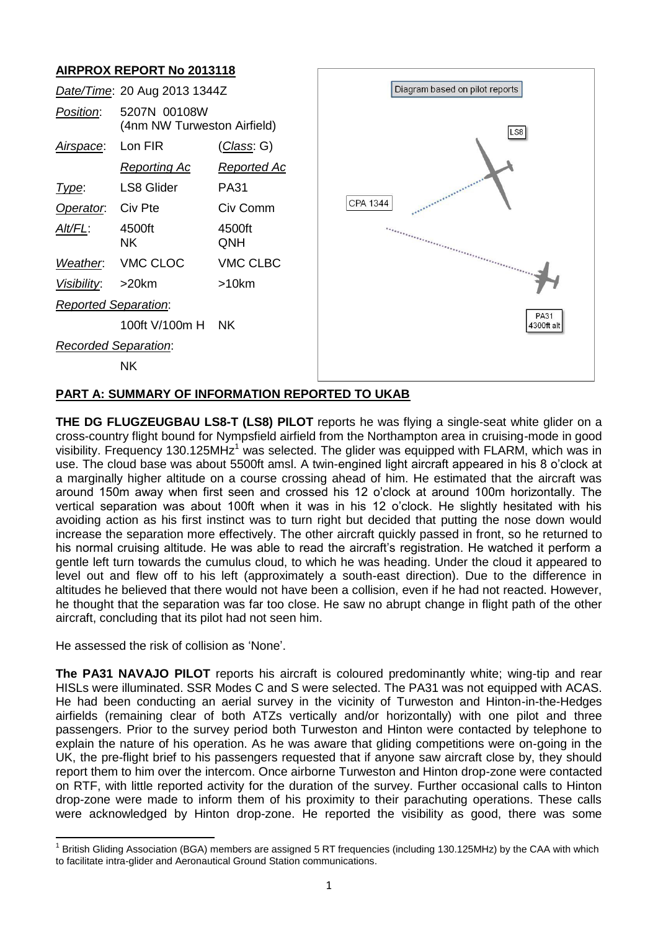# **AIRPROX REPORT No 2013118**

|                             | Date/Time: 20 Aug 2013 1344Z                |                    | Diagram based on pilot reports |
|-----------------------------|---------------------------------------------|--------------------|--------------------------------|
| Position:                   | 5207N 00108W<br>(4nm NW Turweston Airfield) |                    | LS8                            |
| Airspace:                   | Lon FIR                                     | (Class: G)         | <b>CPA 1344</b>                |
|                             | <b>Reporting Ac</b>                         | <b>Reported Ac</b> |                                |
| Type:                       | <b>LS8 Glider</b>                           | <b>PA31</b>        |                                |
| Operator.                   | Civ Pte                                     | Civ Comm           |                                |
| Alt/FL:                     | 4500ft<br><b>NK</b>                         | 4500ft<br>QNH      |                                |
| Weather.                    | VMC CLOC                                    | VMC CLBC           |                                |
| <b>Visibility:</b>          | $>20$ km                                    | >10km              |                                |
| <b>Reported Separation:</b> |                                             |                    |                                |
|                             | 100ft V/100m H                              | NK.                | <b>PA31</b><br>4300ft alt      |
| <b>Recorded Separation:</b> |                                             |                    |                                |
|                             | <b>NK</b>                                   |                    |                                |

## **PART A: SUMMARY OF INFORMATION REPORTED TO UKAB**

**THE DG FLUGZEUGBAU LS8-T (LS8) PILOT** reports he was flying a single-seat white glider on a cross-country flight bound for Nympsfield airfield from the Northampton area in cruising-mode in good visibility. Frequency 130.125MHz<sup>1</sup> was selected. The glider was equipped with FLARM, which was in use. The cloud base was about 5500ft amsl. A twin-engined light aircraft appeared in his 8 o'clock at a marginally higher altitude on a course crossing ahead of him. He estimated that the aircraft was around 150m away when first seen and crossed his 12 o'clock at around 100m horizontally. The vertical separation was about 100ft when it was in his 12 o'clock. He slightly hesitated with his avoiding action as his first instinct was to turn right but decided that putting the nose down would increase the separation more effectively. The other aircraft quickly passed in front, so he returned to his normal cruising altitude. He was able to read the aircraft's registration. He watched it perform a gentle left turn towards the cumulus cloud, to which he was heading. Under the cloud it appeared to level out and flew off to his left (approximately a south-east direction). Due to the difference in altitudes he believed that there would not have been a collision, even if he had not reacted. However, he thought that the separation was far too close. He saw no abrupt change in flight path of the other aircraft, concluding that its pilot had not seen him.

He assessed the risk of collision as 'None'.

**The PA31 NAVAJO PILOT** reports his aircraft is coloured predominantly white; wing-tip and rear HISLs were illuminated. SSR Modes C and S were selected. The PA31 was not equipped with ACAS. He had been conducting an aerial survey in the vicinity of Turweston and Hinton-in-the-Hedges airfields (remaining clear of both ATZs vertically and/or horizontally) with one pilot and three passengers. Prior to the survey period both Turweston and Hinton were contacted by telephone to explain the nature of his operation. As he was aware that gliding competitions were on-going in the UK, the pre-flight brief to his passengers requested that if anyone saw aircraft close by, they should report them to him over the intercom. Once airborne Turweston and Hinton drop-zone were contacted on RTF, with little reported activity for the duration of the survey. Further occasional calls to Hinton drop-zone were made to inform them of his proximity to their parachuting operations. These calls were acknowledged by Hinton drop-zone. He reported the visibility as good, there was some

 $\overline{\phantom{a}}$ 1 British Gliding Association (BGA) members are assigned 5 RT frequencies (including 130.125MHz) by the CAA with which to facilitate intra-glider and Aeronautical Ground Station communications.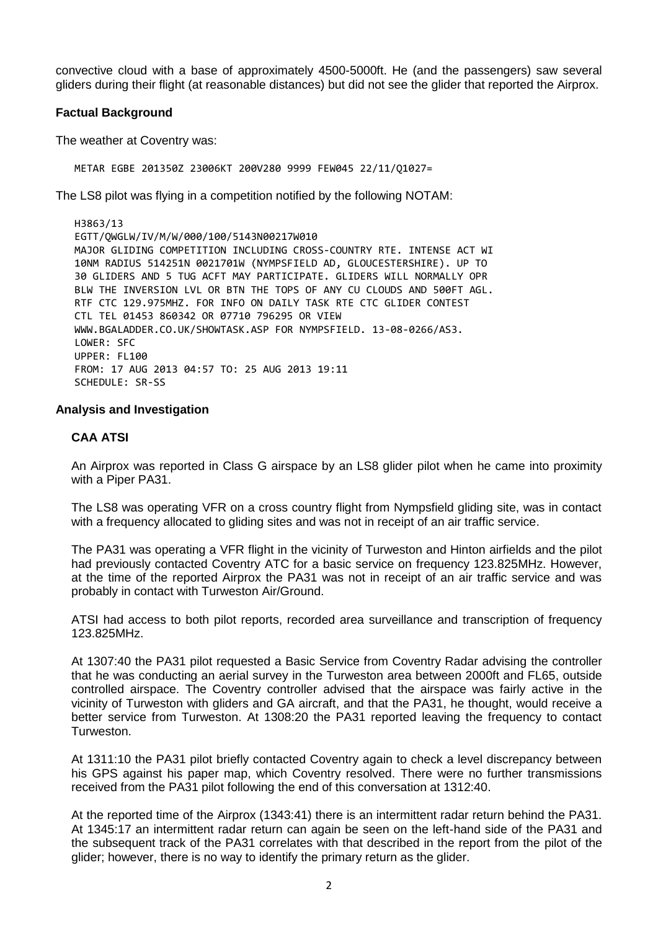convective cloud with a base of approximately 4500-5000ft. He (and the passengers) saw several gliders during their flight (at reasonable distances) but did not see the glider that reported the Airprox.

#### **Factual Background**

The weather at Coventry was:

METAR EGBE 201350Z 23006KT 200V280 9999 FEW045 22/11/Q1027=

The LS8 pilot was flying in a competition notified by the following NOTAM:

H3863/13 EGTT/QWGLW/IV/M/W/000/100/5143N00217W010 MAJOR GLIDING COMPETITION INCLUDING CROSS-COUNTRY RTE. INTENSE ACT WI 10NM RADIUS 514251N 0021701W (NYMPSFIELD AD, GLOUCESTERSHIRE). UP TO 30 GLIDERS AND 5 TUG ACFT MAY PARTICIPATE. GLIDERS WILL NORMALLY OPR BLW THE INVERSION LVL OR BTN THE TOPS OF ANY CU CLOUDS AND 500FT AGL. RTF CTC 129.975MHZ. FOR INFO ON DAILY TASK RTE CTC GLIDER CONTEST CTL TEL 01453 860342 OR 07710 796295 OR VIEW WWW.BGALADDER.CO.UK/SHOWTASK.ASP FOR NYMPSFIELD. 13-08-0266/AS3. LOWER: SFC UPPER: FL100 FROM: 17 AUG 2013 04:57 TO: 25 AUG 2013 19:11 SCHEDULE: SR-SS

#### **Analysis and Investigation**

## **CAA ATSI**

An Airprox was reported in Class G airspace by an LS8 glider pilot when he came into proximity with a Piper PA31.

The LS8 was operating VFR on a cross country flight from Nympsfield gliding site, was in contact with a frequency allocated to gliding sites and was not in receipt of an air traffic service.

The PA31 was operating a VFR flight in the vicinity of Turweston and Hinton airfields and the pilot had previously contacted Coventry ATC for a basic service on frequency 123.825MHz. However, at the time of the reported Airprox the PA31 was not in receipt of an air traffic service and was probably in contact with Turweston Air/Ground.

ATSI had access to both pilot reports, recorded area surveillance and transcription of frequency 123.825MHz.

At 1307:40 the PA31 pilot requested a Basic Service from Coventry Radar advising the controller that he was conducting an aerial survey in the Turweston area between 2000ft and FL65, outside controlled airspace. The Coventry controller advised that the airspace was fairly active in the vicinity of Turweston with gliders and GA aircraft, and that the PA31, he thought, would receive a better service from Turweston. At 1308:20 the PA31 reported leaving the frequency to contact Turweston.

At 1311:10 the PA31 pilot briefly contacted Coventry again to check a level discrepancy between his GPS against his paper map, which Coventry resolved. There were no further transmissions received from the PA31 pilot following the end of this conversation at 1312:40.

At the reported time of the Airprox (1343:41) there is an intermittent radar return behind the PA31. At 1345:17 an intermittent radar return can again be seen on the left-hand side of the PA31 and the subsequent track of the PA31 correlates with that described in the report from the pilot of the glider; however, there is no way to identify the primary return as the glider.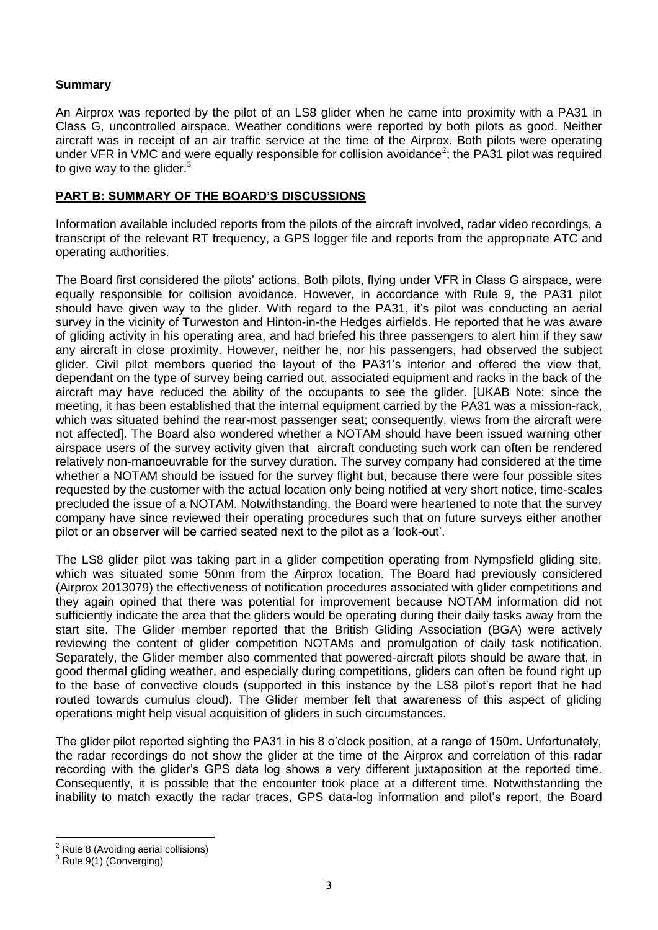## **Summary**

An Airprox was reported by the pilot of an LS8 glider when he came into proximity with a PA31 in Class G, uncontrolled airspace. Weather conditions were reported by both pilots as good. Neither aircraft was in receipt of an air traffic service at the time of the Airprox. Both pilots were operating under VFR in VMC and were equally responsible for collision avoidance<sup>2</sup>; the PA31 pilot was required to give way to the glider. $^3$ 

## **PART B: SUMMARY OF THE BOARD'S DISCUSSIONS**

Information available included reports from the pilots of the aircraft involved, radar video recordings, a transcript of the relevant RT frequency, a GPS logger file and reports from the appropriate ATC and operating authorities.

The Board first considered the pilots' actions. Both pilots, flying under VFR in Class G airspace, were equally responsible for collision avoidance. However, in accordance with Rule 9, the PA31 pilot should have given way to the glider. With regard to the PA31, it's pilot was conducting an aerial survey in the vicinity of Turweston and Hinton-in-the Hedges airfields. He reported that he was aware of gliding activity in his operating area, and had briefed his three passengers to alert him if they saw any aircraft in close proximity. However, neither he, nor his passengers, had observed the subject glider. Civil pilot members queried the layout of the PA31's interior and offered the view that, dependant on the type of survey being carried out, associated equipment and racks in the back of the aircraft may have reduced the ability of the occupants to see the glider. [UKAB Note: since the meeting, it has been established that the internal equipment carried by the PA31 was a mission-rack, which was situated behind the rear-most passenger seat; consequently, views from the aircraft were not affected]. The Board also wondered whether a NOTAM should have been issued warning other airspace users of the survey activity given that aircraft conducting such work can often be rendered relatively non-manoeuvrable for the survey duration. The survey company had considered at the time whether a NOTAM should be issued for the survey flight but, because there were four possible sites requested by the customer with the actual location only being notified at very short notice, time-scales precluded the issue of a NOTAM. Notwithstanding, the Board were heartened to note that the survey company have since reviewed their operating procedures such that on future surveys either another pilot or an observer will be carried seated next to the pilot as a 'look-out'.

The LS8 glider pilot was taking part in a glider competition operating from Nympsfield gliding site, which was situated some 50nm from the Airprox location. The Board had previously considered (Airprox 2013079) the effectiveness of notification procedures associated with glider competitions and they again opined that there was potential for improvement because NOTAM information did not sufficiently indicate the area that the gliders would be operating during their daily tasks away from the start site. The Glider member reported that the British Gliding Association (BGA) were actively reviewing the content of glider competition NOTAMs and promulgation of daily task notification. Separately, the Glider member also commented that powered-aircraft pilots should be aware that, in good thermal gliding weather, and especially during competitions, gliders can often be found right up to the base of convective clouds (supported in this instance by the LS8 pilot's report that he had routed towards cumulus cloud). The Glider member felt that awareness of this aspect of gliding operations might help visual acquisition of gliders in such circumstances.

The glider pilot reported sighting the PA31 in his 8 o'clock position, at a range of 150m. Unfortunately, the radar recordings do not show the glider at the time of the Airprox and correlation of this radar recording with the glider's GPS data log shows a very different juxtaposition at the reported time. Consequently, it is possible that the encounter took place at a different time. Notwithstanding the inability to match exactly the radar traces, GPS data-log information and pilot's report, the Board

 $\overline{\phantom{a}}$ 

<sup>2</sup> Rule 8 (Avoiding aerial collisions)

 $3$  Rule 9(1) (Converging)